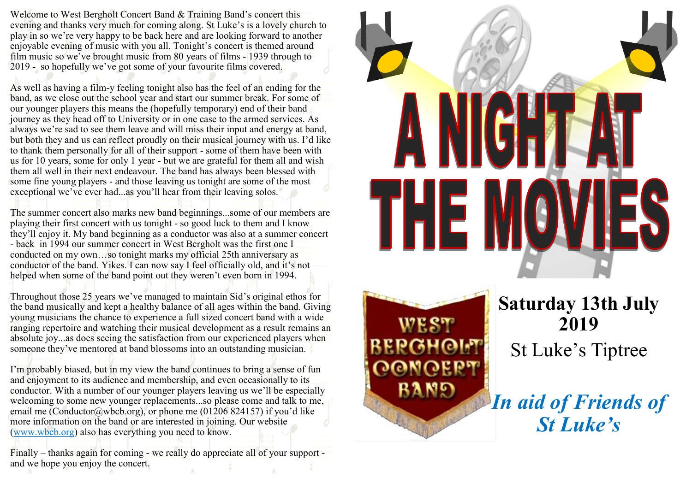Welcome to West Bergholt Concert Band & Training Band 's concert this evening and thanks very much for coming along. St Luke 's is a lovely church to play in so we 're very happy to be back here and are looking forward to another enjoyable evening of music with you all. Tonight 's concert is themed around film music so we've brought music from 80 years of films - 1939 through to 2019 - so hopefully we 've got some of your favourite films covered.

As well as having a film -y feeling tonight also has the feel of an ending for the band, as we close out the school year and start our summer break. For some of our younger players this means the (hopefully temporary) end of their band journey as they head off to University or in one case to the armed services. As always we 're sad to see them leave and will miss their input and energy at band, but both they and us can reflect proudly on their musical journey with us. I 'd like to thank them personally for all of their support - some of them have been with us for 10 years, some for only 1 year - but we are grateful for them all and wish them all well in their next endeavour. The band has always been blessed with some fine young players - and those leaving us tonight are some of the most exceptional we 've ever had...as you 'll hear from their leaving solos.

The summer concert also marks new band beginnings...some of our members are playing their first concert with us tonight - so good luck to them and I know they 'll enjoy it. My band beginning as a conductor was also at a summer concert - back in 1994 our summer concert in West Bergholt was the first one I conducted on my own …so tonight marks my official 25th anniversary as conductor of the band. Yikes. I can now say I feel officially old, and it 's not helped when some of the band point out they weren 't even born in 1994.

Throughout those 25 years we 've managed to maintain Sid 's original ethos for the band musically and kept a healthy balance of all ages within the band. Giving young musicians the chance to experience a full sized concert band with a wide ranging repertoire and watching their musical development as a result remains an absolute joy...as does seeing the satisfaction from our experienced players when someone they 've mentored at band blossoms into an outstanding musician.

I'm probably biased, but in my view the band continues to bring a sense of fun and enjoyment to its audience and membership, and even occasionally to its conductor. With a number of our younger players leaving us we 'll be especially welcoming to some new younger replacements...so please come and talk to me, email me (Conductor@wbcb.org), or phone me (01206 824157) if you'd like more information on the band or are interested in joining. Our website (www.wbcb.org) also has everything you need to know.

Finally – thanks again for coming - we really do appreciate all of your support and we hope you enjoy the concert.





**Saturday 13th July 2019** St Luke 's Tiptree

*In aid of Friends of St Luke 's*